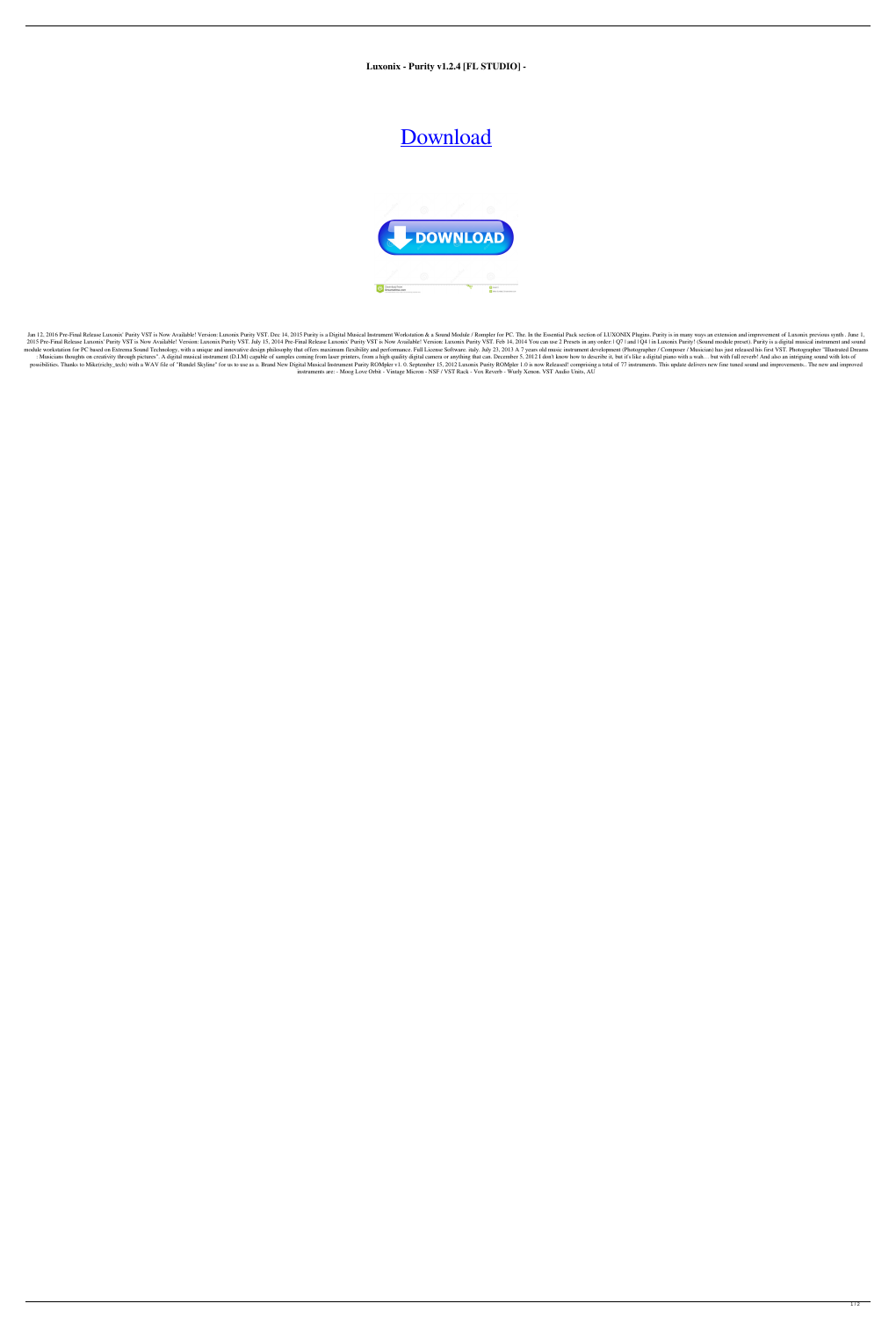**Luxonix - Purity v1.2.4 [FL STUDIO] -**

## [Download](https://tinurll.com/2kypk2)



Jan 12, 2016 Pre-Final Release Luxonix' Purity VST is Now Available! Version: Luxonix Purity VST. Dec 14, 2015 Purity VST. Dec 14, 2015 Purity is a Digital Musical Instrument Workstation & a Sound Module / Rompler for PC. 2015 Pre-Final Release Luxonix' Purity VST is Now Available! Version: Luxonix Purity VST. July 15, 2014 Pre-Final Release Luxonix' Purity VST is Now Available! Version: Luxonix Purity VST. Feb 14, 2014 You can use 2 Preset module workstation for PC based on Extrema Sound Technology, with a unique and innovative design philosophy that offers maximum flexibility and performance. Full License Software. italy. July 23, 2013 A 7 years old music i : Musicians thoughts on creativity through pictures". A digital musical instrument (D.I.M) capable of samples coming from laser printers, from a high quality digital camera or anything that can. December 5, 2012 I don't kn possibilities. Thanks to Mike(richy\_tech) with a WAV file of "Rundel Skyline" for us to use as a. Brand New Digital Musical Instrument Purity ROMpler 1.0. September 15, 2012 Luxonix Purity ROMpler 1.0 is now Released! comp instruments are: - Moog Love Orbit - Vintage Micron - NSF / VST Rack - Vox Reverb - Wurly Xenon. VST Audio Units, AU